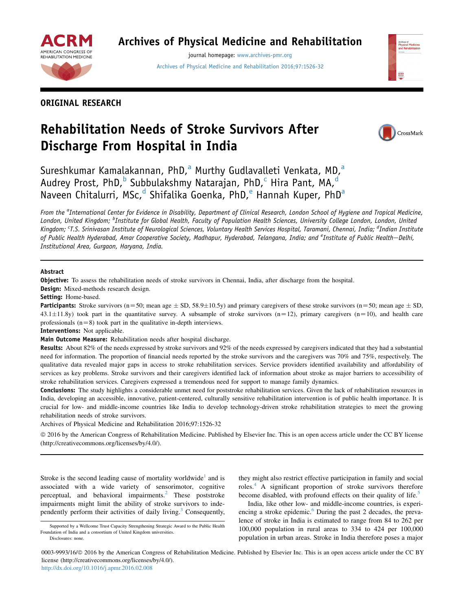

## Archives of Physical Medicine and Rehabilitation

journal homepage: [www.archives-pmr.org](http://www.archives-pmr.org) [Archives of Physical Medicine and Rehabilitation 2016;97:1526-32](http://dx.doi.org/10.1016/j.apmr.2016.02.008)

## ORIGINAL RESEARCH

# Rehabilitation Needs of Stroke Survivors After Discharge From Hospital in India



Sureshkumar Kamalakannan, PhD, $^a$  Murthy Gudlavalleti Venkata, MD, $^a$ Audrey Prost, PhD,<sup>b</sup> Subbulakshmy Natarajan, PhD,<sup>c</sup> Hira Pant, MA,<sup>d</sup> Naveen Chitalurri, MSc,<sup>d</sup> Shifalika Goenka, PhD,<sup>e</sup> Hannah Kuper, PhD<sup>a</sup>

From the <sup>a</sup>International Center for Evidence in Disability, Department of Clinical Research, London School of Hygiene and Tropical Medicine, London, United Kingdom; <sup>b</sup>Institute for Global Health, Faculty of Population Health Sciences, University College London, London, United Kingdom; <sup>c</sup>T.S. Srinivasan Institute of Neurological Sciences, Voluntary Health Services Hospital, Taramani, Chennai, India; <sup>d</sup>Indian Institute of Public Health Hyderabad, Amar Cooperative Society, Madhapur, Hyderabad, Telangana, India; and <sup>e</sup>Institute of Public Health—Delhi, Institutional Area, Gurgaon, Haryana, India.

#### Abstract

Objective: To assess the rehabilitation needs of stroke survivors in Chennai, India, after discharge from the hospital.

Design: Mixed-methods research design.

Setting: Home-based.

**Participants:** Stroke survivors (n=50; mean age  $\pm$  SD, 58.9 $\pm$ 10.5y) and primary caregivers of these stroke survivors (n=50; mean age  $\pm$  SD,  $43.1\pm11.8$ y) took part in the quantitative survey. A subsample of stroke survivors (n=12), primary caregivers (n=10), and health care professionals  $(n=8)$  took part in the qualitative in-depth interviews.

Interventions: Not applicable.

Main Outcome Measure: Rehabilitation needs after hospital discharge.

Results: About 82% of the needs expressed by stroke survivors and 92% of the needs expressed by caregivers indicated that they had a substantial need for information. The proportion of financial needs reported by the stroke survivors and the caregivers was 70% and 75%, respectively. The qualitative data revealed major gaps in access to stroke rehabilitation services. Service providers identified availability and affordability of services as key problems. Stroke survivors and their caregivers identified lack of information about stroke as major barriers to accessibility of stroke rehabilitation services. Caregivers expressed a tremendous need for support to manage family dynamics.

Conclusions: The study highlights a considerable unmet need for poststroke rehabilitation services. Given the lack of rehabilitation resources in India, developing an accessible, innovative, patient-centered, culturally sensitive rehabilitation intervention is of public health importance. It is crucial for low- and middle-income countries like India to develop technology-driven stroke rehabilitation strategies to meet the growing rehabilitation needs of stroke survivors.

Archives of Physical Medicine and Rehabilitation 2016;97:1526-32

ª 2016 by the American Congress of Rehabilitation Medicine. Published by Elsevier Inc. This is an open access article under the CC BY license (http://creativecommons.org/licenses/by/4.0/).

Stroke is the second leading cause of mortality worldwide<sup>[1](#page-6-0)</sup> and is associated with a wide variety of sensorimotor, cognitive perceptual, and behavioral impairments. $^{2}$  $^{2}$  $^{2}$  These poststroke impairments might limit the ability of stroke survivors to inde-pendently perform their activities of daily living.<sup>[3](#page-6-0)</sup> Consequently,

India, like other low- and middle-income countries, is experiencing a stroke epidemic.<sup>6</sup> During the past 2 decades, the prevalence of stroke in India is estimated to range from 84 to 262 per 100,000 population in rural areas to 334 to 424 per 100,000 population in urban areas. Stroke in India therefore poses a major

0003-9993/16/ª 2016 by the American Congress of Rehabilitation Medicine. Published by Elsevier Inc. This is an open access article under the CC BY license (http://creativecommons.org/licenses/by/4.0/).

<http://dx.doi.org/10.1016/j.apmr.2016.02.008>

Supported by a Wellcome Trust Capacity Strengthening Strategic Award to the Public Health Foundation of India and a consortium of United Kingdom universities. Disclosures: none.

they might also restrict effective participation in family and social roles.<sup>4</sup> A significant proportion of stroke survivors therefore become disabled, with profound effects on their quality of life.<sup>[5](#page-6-0)</sup>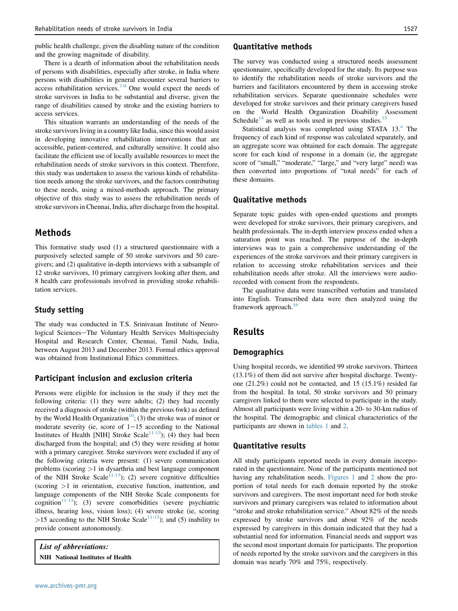public health challenge, given the disabling nature of the condition and the growing magnitude of disability.

There is a dearth of information about the rehabilitation needs of persons with disabilities, especially after stroke, in India where persons with disabilities in general encounter several barriers to access rehabilitation services.<sup>[7-9](#page-6-0)</sup> One would expect the needs of stroke survivors in India to be substantial and diverse, given the range of disabilities caused by stroke and the existing barriers to access services.

This situation warrants an understanding of the needs of the stroke survivors living in a country like India, since this would assist in developing innovative rehabilitation interventions that are accessible, patient-centered, and culturally sensitive. It could also facilitate the efficient use of locally available resources to meet the rehabilitation needs of stroke survivors in this context. Therefore, this study was undertaken to assess the various kinds of rehabilitation needs among the stroke survivors, and the factors contributing to these needs, using a mixed-methods approach. The primary objective of this study was to assess the rehabilitation needs of stroke survivors in Chennai, India, after discharge from the hospital.

## Methods

This formative study used (1) a structured questionnaire with a purposively selected sample of 50 stroke survivors and 50 caregivers; and (2) qualitative in-depth interviews with a subsample of 12 stroke survivors, 10 primary caregivers looking after them, and 8 health care professionals involved in providing stroke rehabilitation services.

#### Study setting

The study was conducted in T.S. Srinivasan Institute of Neurological Sciences-The Voluntary Health Services Multispecialty Hospital and Research Center, Chennai, Tamil Nadu, India, between August 2013 and December 2013. Formal ethics approval was obtained from Institutional Ethics committees.

#### Participant inclusion and exclusion criteria

Persons were eligible for inclusion in the study if they met the following criteria: (1) they were adults; (2) they had recently received a diagnosis of stroke (within the previous 6wk) as defined by the World Health Organization<sup>10</sup>; (3) the stroke was of minor or moderate severity (ie, score of  $1-15$  according to the National Institutes of Health [NIH] Stroke Scale<sup>11-13</sup>); (4) they had been discharged from the hospital; and (5) they were residing at home with a primary caregiver. Stroke survivors were excluded if any of the following criteria were present: (1) severe communication problems (scoring >1 in dysarthria and best language component of the NIH Stroke Scale<sup>[11-13](#page-6-0)</sup>); (2) severe cognitive difficulties (scoring >1 in orientation, executive function, inattention, and language components of the NIH Stroke Scale components for cognition<sup>[11-13](#page-6-0)</sup>); (3) severe comorbidities (severe psychiatric illness, hearing loss, vision loss); (4) severe stroke (ie, scoring >15 according to the NIH Stroke Scale<sup>11-13</sup>); and (5) inability to provide consent autonomously.

List of abbreviations: NIH National Institutes of Health

#### Quantitative methods

The survey was conducted using a structured needs assessment questionnaire, specifically developed for the study. Its purpose was to identify the rehabilitation needs of stroke survivors and the barriers and facilitators encountered by them in accessing stroke rehabilitation services. Separate questionnaire schedules were developed for stroke survivors and their primary caregivers based on the World Health Organization Disability Assessment Schedule<sup>14</sup> as well as tools used in previous studies.<sup>[15](#page-6-0)</sup>

St[a](#page-5-0)tistical analysis was completed using STATA 13.<sup>a</sup> The frequency of each kind of response was calculated separately, and an aggregate score was obtained for each domain. The aggregate score for each kind of response in a domain (ie, the aggregate score of "small," "moderate," "large," and "very large" need) was then converted into proportions of "total needs" for each of these domains.

### Qualitative methods

Separate topic guides with open-ended questions and prompts were developed for stroke survivors, their primary caregivers, and health professionals. The in-depth interview process ended when a saturation point was reached. The purpose of the in-depth interviews was to gain a comprehensive understanding of the experiences of the stroke survivors and their primary caregivers in relation to accessing stroke rehabilitation services and their rehabilitation needs after stroke. All the interviews were audiorecorded with consent from the respondents.

The qualitative data were transcribed verbatim and translated into English. Transcribed data were then analyzed using the framework approach.[16](#page-6-0)

## Results

#### **Demographics**

Using hospital records, we identified 99 stroke survivors. Thirteen (13.1%) of them did not survive after hospital discharge. Twentyone (21.2%) could not be contacted, and 15 (15.1%) resided far from the hospital. In total, 50 stroke survivors and 50 primary caregivers linked to them were selected to participate in the study. Almost all participants were living within a 20- to 30-km radius of the hospital. The demographic and clinical characteristics of the participants are shown in [tables 1](#page-2-0) and [2](#page-2-0).

#### Quantitative results

All study participants reported needs in every domain incorporated in the questionnaire. None of the participants mentioned not having any rehabilitation needs. [Figures 1](#page-3-0) and [2](#page-3-0) show the proportion of total needs for each domain reported by the stroke survivors and caregivers. The most important need for both stroke survivors and primary caregivers was related to information about "stroke and stroke rehabilitation service." About 82% of the needs expressed by stroke survivors and about 92% of the needs expressed by caregivers in this domain indicated that they had a substantial need for information. Financial needs and support was the second most important domain for participants. The proportion of needs reported by the stroke survivors and the caregivers in this domain was nearly 70% and 75%, respectively.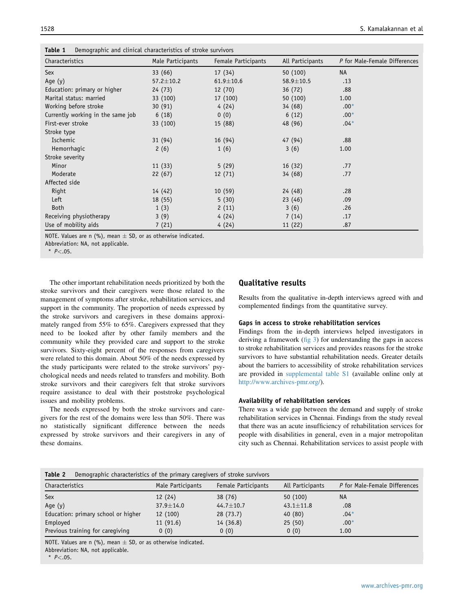| Characteristics                   | Male Participants | Female Participants | All Participants | P for Male-Female Differences |
|-----------------------------------|-------------------|---------------------|------------------|-------------------------------|
| Sex                               | 33 (66)           | 17(34)              | 50 (100)         | <b>NA</b>                     |
| Age $(y)$                         | $57.2 \pm 10.2$   | $61.9 \pm 10.6$     | $58.9 \pm 10.5$  | .13                           |
| Education: primary or higher      | 24(73)            | 12(70)              | 36(72)           | .88                           |
| Marital status: married           | 33 (100)          | 17 (100)            | 50 (100)         | 1.00                          |
| Working before stroke             | 30(91)            | 4(24)               | 34(68)           | $.00*$                        |
| Currently working in the same job | 6(18)             | 0(0)                | 6(12)            | $.00*$                        |
| First-ever stroke                 | 33 (100)          | 15 (88)             | 48 (96)          | $.04*$                        |
| Stroke type                       |                   |                     |                  |                               |
| Ischemic                          | 31 (94)           | 16(94)              | 47 (94)          | .88                           |
| Hemorrhagic                       | 2(6)              | 1(6)                | 3(6)             | 1.00                          |
| Stroke severity                   |                   |                     |                  |                               |
| Minor                             | 11(33)            | 5(29)               | 16(32)           | .77                           |
| Moderate                          | 22(67)            | 12(71)              | 34(68)           | .77                           |
| Affected side                     |                   |                     |                  |                               |
| Right                             | 14 (42)           | 10(59)              | 24 (48)          | .28                           |
| Left                              | 18 (55)           | 5(30)               | 23(46)           | .09                           |
| Both                              | 1(3)              | 2(11)               | 3(6)             | .26                           |
| Receiving physiotherapy           | 3(9)              | 4(24)               | 7(14)            | .17                           |
| Use of mobility aids              | 7(21)             | 4(24)               | 11(22)           | .87                           |

<span id="page-2-0"></span>Table 1 Demographic and clinical characteristics of stroke survivors

NOTE. Values are n (%), mean  $\pm$  SD, or as otherwise indicated.

Abbreviation: NA, not applicable.

 $P < .05.$ 

The other important rehabilitation needs prioritized by both the stroke survivors and their caregivers were those related to the management of symptoms after stroke, rehabilitation services, and support in the community. The proportion of needs expressed by the stroke survivors and caregivers in these domains approximately ranged from 55% to 65%. Caregivers expressed that they need to be looked after by other family members and the community while they provided care and support to the stroke survivors. Sixty-eight percent of the responses from caregivers were related to this domain. About 50% of the needs expressed by the study participants were related to the stroke survivors' psychological needs and needs related to transfers and mobility. Both stroke survivors and their caregivers felt that stroke survivors require assistance to deal with their poststroke psychological issues and mobility problems.

The needs expressed by both the stroke survivors and caregivers for the rest of the domains were less than 50%. There was no statistically significant difference between the needs expressed by stroke survivors and their caregivers in any of these domains.

### Qualitative results

Results from the qualitative in-depth interviews agreed with and complemented findings from the quantitative survey.

#### Gaps in access to stroke rehabilitation services

Findings from the in-depth interviews helped investigators in deriving a framework  $(f \circ g)$  for understanding the gaps in access to stroke rehabilitation services and provides reasons for the stroke survivors to have substantial rehabilitation needs. Greater details about the barriers to accessibility of stroke rehabilitation services are provided in [supplemental table S1](#page-7-0) (available online only at <http://www.archives-pmr.org/>).

#### Availability of rehabilitation services

There was a wide gap between the demand and supply of stroke rehabilitation services in Chennai. Findings from the study reveal that there was an acute insufficiency of rehabilitation services for people with disabilities in general, even in a major metropolitan city such as Chennai. Rehabilitation services to assist people with

#### Table 2 Demographic characteristics of the primary caregivers of stroke survivors

| Characteristics                     | Male Participants | Female Participants | All Participants | P for Male-Female Differences |
|-------------------------------------|-------------------|---------------------|------------------|-------------------------------|
| Sex                                 | 12(24)            | 38(76)              | 50(100)          | <b>NA</b>                     |
| Age $(y)$                           | $37.9 \pm 14.0$   | $44.7 \pm 10.7$     | $43.1 \pm 11.8$  | .08                           |
| Education: primary school or higher | 12 (100)          | 28(73.7)            | 40(80)           | $.04*$                        |
| Employed                            | 11(91.6)          | 14(36.8)            | 25(50)           | $.00*$                        |
| Previous training for caregiving    | 0(0)              | 0(0)                | 0(0)             | 1.00                          |

NOTE. Values are n (%), mean  $\pm$  SD, or as otherwise indicated.

Abbreviation: NA, not applicable.

 $*$   $P < .05$ .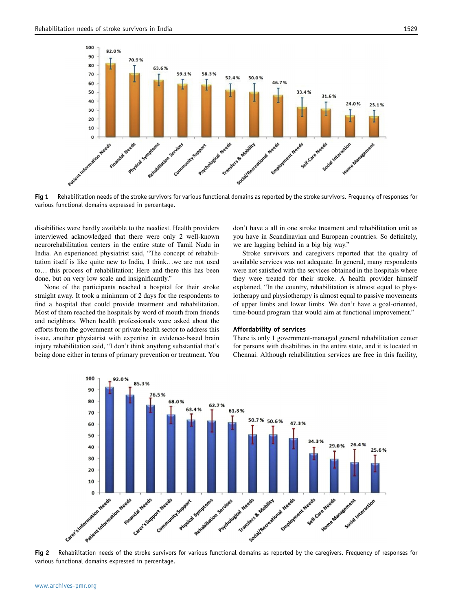<span id="page-3-0"></span>

Fig 1 Rehabilitation needs of the stroke survivors for various functional domains as reported by the stroke survivors. Frequency of responses for various functional domains expressed in percentage.

disabilities were hardly available to the neediest. Health providers interviewed acknowledged that there were only 2 well-known neurorehabilitation centers in the entire state of Tamil Nadu in India. An experienced physiatrist said, "The concept of rehabilitation itself is like quite new to India, I think...we are not used to... this process of rehabilitation; Here and there this has been done, but on very low scale and insignificantly."

None of the participants reached a hospital for their stroke straight away. It took a minimum of 2 days for the respondents to find a hospital that could provide treatment and rehabilitation. Most of them reached the hospitals by word of mouth from friends and neighbors. When health professionals were asked about the efforts from the government or private health sector to address this issue, another physiatrist with expertise in evidence-based brain injury rehabilitation said, "I don't think anything substantial that's being done either in terms of primary prevention or treatment. You don't have a all in one stroke treatment and rehabilitation unit as you have in Scandinavian and European countries. So definitely, we are lagging behind in a big big way."

Stroke survivors and caregivers reported that the quality of available services was not adequate. In general, many respondents were not satisfied with the services obtained in the hospitals where they were treated for their stroke. A health provider himself explained, "In the country, rehabilitation is almost equal to physiotherapy and physiotherapy is almost equal to passive movements of upper limbs and lower limbs. We don't have a goal-oriented, time-bound program that would aim at functional improvement."

#### Affordability of services

There is only 1 government-managed general rehabilitation center for persons with disabilities in the entire state, and it is located in Chennai. Although rehabilitation services are free in this facility,



Fig 2 Rehabilitation needs of the stroke survivors for various functional domains as reported by the caregivers. Frequency of responses for various functional domains expressed in percentage.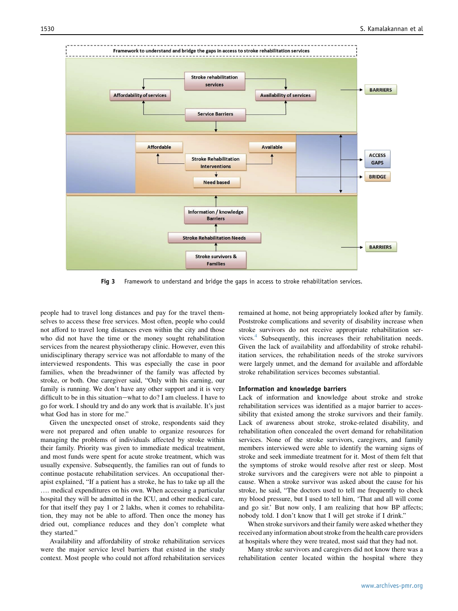<span id="page-4-0"></span>

Fig 3 Framework to understand and bridge the gaps in access to stroke rehabilitation services.

people had to travel long distances and pay for the travel themselves to access these free services. Most often, people who could not afford to travel long distances even within the city and those who did not have the time or the money sought rehabilitation services from the nearest physiotherapy clinic. However, even this unidisciplinary therapy service was not affordable to many of the interviewed respondents. This was especially the case in poor families, when the breadwinner of the family was affected by stroke, or both. One caregiver said, "Only with his earning, our family is running. We don't have any other support and it is very difficult to be in this situation-what to do? I am clueless. I have to go for work. I should try and do any work that is available. It's just what God has in store for me."

Given the unexpected onset of stroke, respondents said they were not prepared and often unable to organize resources for managing the problems of individuals affected by stroke within their family. Priority was given to immediate medical treatment, and most funds were spent for acute stroke treatment, which was usually expensive. Subsequently, the families ran out of funds to continue postacute rehabilitation services. An occupational therapist explained, "If a patient has a stroke, he has to take up all the .... medical expenditures on his own. When accessing a particular hospital they will be admitted in the ICU, and other medical care, for that itself they pay 1 or 2 lakhs, when it comes to rehabilitation, they may not be able to afford. Then once the money has dried out, compliance reduces and they don't complete what they started."

Availability and affordability of stroke rehabilitation services were the major service level barriers that existed in the study context. Most people who could not afford rehabilitation services remained at home, not being appropriately looked after by family. Poststroke complications and severity of disability increase when stroke survivors do not receive appropriate rehabilitation services.<sup>4</sup> Subsequently, this increases their rehabilitation needs. Given the lack of availability and affordability of stroke rehabilitation services, the rehabilitation needs of the stroke survivors were largely unmet, and the demand for available and affordable stroke rehabilitation services becomes substantial.

#### Information and knowledge barriers

Lack of information and knowledge about stroke and stroke rehabilitation services was identified as a major barrier to accessibility that existed among the stroke survivors and their family. Lack of awareness about stroke, stroke-related disability, and rehabilitation often concealed the overt demand for rehabilitation services. None of the stroke survivors, caregivers, and family members interviewed were able to identify the warning signs of stroke and seek immediate treatment for it. Most of them felt that the symptoms of stroke would resolve after rest or sleep. Most stroke survivors and the caregivers were not able to pinpoint a cause. When a stroke survivor was asked about the cause for his stroke, he said, "The doctors used to tell me frequently to check my blood pressure, but I used to tell him, 'That and all will come and go sir.' But now only, I am realizing that how BP affects; nobody told. I don't know that I will get stroke if I drink."

When stroke survivors and their family were asked whether they received any information about stroke from the health care providers at hospitals where they were treated, most said that they had not.

Many stroke survivors and caregivers did not know there was a rehabilitation center located within the hospital where they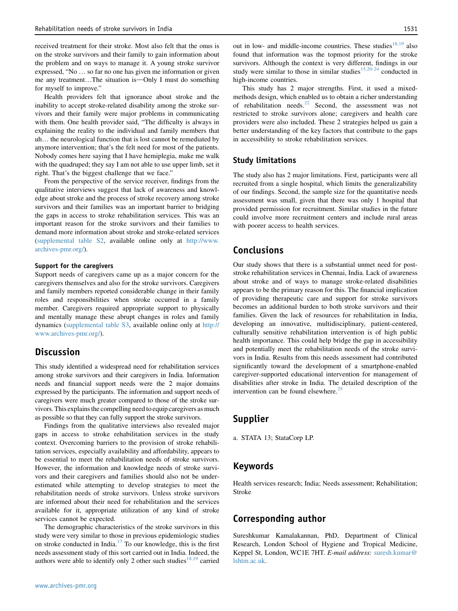<span id="page-5-0"></span>received treatment for their stroke. Most also felt that the onus is on the stroke survivors and their family to gain information about the problem and on ways to manage it. A young stroke survivor expressed, "No ... so far no one has given me information or given me any treatment...The situation is-Only I must do something for myself to improve."

Health providers felt that ignorance about stroke and the inability to accept stroke-related disability among the stroke survivors and their family were major problems in communicating with them. One health provider said, "The difficulty is always in explaining the reality to the individual and family members that uh... the neurological function that is lost cannot be remediated by anymore intervention; that's the felt need for most of the patients. Nobody comes here saying that I have hemiplegia, make me walk with the quadruped; they say I am not able to use upper limb, set it right. That's the biggest challenge that we face."

From the perspective of the service receiver, findings from the qualitative interviews suggest that lack of awareness and knowledge about stroke and the process of stroke recovery among stroke survivors and their families was an important barrier to bridging the gaps in access to stroke rehabilitation services. This was an important reason for the stroke survivors and their families to demand more information about stroke and stroke-related services [\(supplemental table S2](#page-11-0), available online only at [http://www.](http://www.archives-pmr.org/) [archives-pmr.org/\)](http://www.archives-pmr.org/).

#### Support for the caregivers

Support needs of caregivers came up as a major concern for the caregivers themselves and also for the stroke survivors. Caregivers and family members reported considerable change in their family roles and responsibilities when stroke occurred in a family member. Caregivers required appropriate support to physically and mentally manage these abrupt changes in roles and family dynamics ([supplemental table S3](#page-13-0), available online only at [http://](http://www.archives-pmr.org/) [www.archives-pmr.org/\)](http://www.archives-pmr.org/).

## **Discussion**

This study identified a widespread need for rehabilitation services among stroke survivors and their caregivers in India. Information needs and financial support needs were the 2 major domains expressed by the participants. The information and support needs of caregivers were much greater compared to those of the stroke survivors. This explains the compelling need to equip caregivers as much as possible so that they can fully support the stroke survivors.

Findings from the qualitative interviews also revealed major gaps in access to stroke rehabilitation services in the study context. Overcoming barriers to the provision of stroke rehabilitation services, especially availability and affordability, appears to be essential to meet the rehabilitation needs of stroke survivors. However, the information and knowledge needs of stroke survivors and their caregivers and families should also not be underestimated while attempting to develop strategies to meet the rehabilitation needs of stroke survivors. Unless stroke survivors are informed about their need for rehabilitation and the services available for it, appropriate utilization of any kind of stroke services cannot be expected.

The demographic characteristics of the stroke survivors in this study were very similar to those in previous epidemiologic studies on stroke conducted in India. $17$  To our knowledge, this is the first needs assessment study of this sort carried out in India. Indeed, the authors were able to identify only 2 other such studies<sup>[18,19](#page-6-0)</sup> carried

out in low- and middle-income countries. These studies<sup>[18,19](#page-6-0)</sup> also found that information was the topmost priority for the stroke survivors. Although the context is very different, findings in our study were similar to those in similar studies<sup>[15,20-24](#page-6-0)</sup> conducted in high-income countries.

This study has 2 major strengths. First, it used a mixedmethods design, which enabled us to obtain a richer understanding of rehabilitation needs.[22](#page-6-0) Second, the assessment was not restricted to stroke survivors alone; caregivers and health care providers were also included. These 2 strategies helped us gain a better understanding of the key factors that contribute to the gaps in accessibility to stroke rehabilitation services.

### Study limitations

The study also has 2 major limitations. First, participants were all recruited from a single hospital, which limits the generalizability of our findings. Second, the sample size for the quantitative needs assessment was small, given that there was only 1 hospital that provided permission for recruitment. Similar studies in the future could involve more recruitment centers and include rural areas with poorer access to health services.

## Conclusions

Our study shows that there is a substantial unmet need for poststroke rehabilitation services in Chennai, India. Lack of awareness about stroke and of ways to manage stroke-related disabilities appears to be the primary reason for this. The financial implication of providing therapeutic care and support for stroke survivors becomes an additional burden to both stroke survivors and their families. Given the lack of resources for rehabilitation in India, developing an innovative, multidisciplinary, patient-centered, culturally sensitive rehabilitation intervention is of high public health importance. This could help bridge the gap in accessibility and potentially meet the rehabilitation needs of the stroke survivors in India. Results from this needs assessment had contributed significantly toward the development of a smartphone-enabled caregiver-supported educational intervention for management of disabilities after stroke in India. The detailed description of the intervention can be found elsewhere.<sup>[25](#page-6-0)</sup>

## Supplier

a. STATA 13; StataCorp LP.

## Keywords

Health services research; India; Needs assessment; Rehabilitation; Stroke

## Corresponding author

Sureshkumar Kamalakannan, PhD, Department of Clinical Research, London School of Hygiene and Tropical Medicine, Keppel St, London, WC1E 7HT. E-mail address: [suresh.kumar@](mailto:suresh.kumar@lshtm.ac.uk) [lshtm.ac.uk.](mailto:suresh.kumar@lshtm.ac.uk)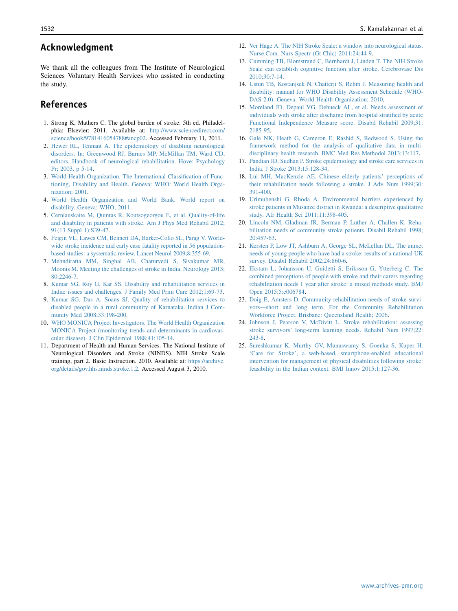## <span id="page-6-0"></span>Acknowledgment

We thank all the colleagues from The Institute of Neurological Sciences Voluntary Health Services who assisted in conducting the study.

## References

- 1. Strong K, Mathers C. The global burden of stroke. 5th ed. Philadelphia: Elsevier; 2011. Available at: [http://www.sciencedirect.com/](http://www.sciencedirect.com/science/book/9781416054788#ancp02) [science/book/9781416054788#ancp02.](http://www.sciencedirect.com/science/book/9781416054788#ancp02) Accessed February 11, 2011.
- 2. [Hewer RL, Tennant A. The epidemiology of disabling neurological](http://refhub.elsevier.com/S0003-9993(16)00138-6/sref2) [disorders. In: Greenwood RJ, Barnes MP, McMillan TM, Ward CD,](http://refhub.elsevier.com/S0003-9993(16)00138-6/sref2) [editors. Handbook of neurological rehabilitation. Hove: Psychology](http://refhub.elsevier.com/S0003-9993(16)00138-6/sref2) [Pr; 2003. p 5-14](http://refhub.elsevier.com/S0003-9993(16)00138-6/sref2).
- 3. [World Health Organization. The International Classification of Func](http://refhub.elsevier.com/S0003-9993(16)00138-6/sref3)[tioning, Disability and Health. Geneva: WHO: World Health Orga](http://refhub.elsevier.com/S0003-9993(16)00138-6/sref3)[nization; 2001.](http://refhub.elsevier.com/S0003-9993(16)00138-6/sref3)
- 4. [World Health Organization and World Bank. World report on](http://refhub.elsevier.com/S0003-9993(16)00138-6/sref4) [disability. Geneva: WHO; 2011.](http://refhub.elsevier.com/S0003-9993(16)00138-6/sref4)
- 5. [Cerniauskaite M, Quintas R, Koutsogeorgou E, et al. Quality-of-life](http://refhub.elsevier.com/S0003-9993(16)00138-6/sref5) [and disability in patients with stroke. Am J Phys Med Rehabil 2012;](http://refhub.elsevier.com/S0003-9993(16)00138-6/sref5) [91\(13 Suppl 1\):S39-47.](http://refhub.elsevier.com/S0003-9993(16)00138-6/sref5)
- 6. [Feigin VL, Lawes CM, Bennett DA, Barker-Collo SL, Parag V. World](http://refhub.elsevier.com/S0003-9993(16)00138-6/sref6)[wide stroke incidence and early case fatality reported in 56 population](http://refhub.elsevier.com/S0003-9993(16)00138-6/sref6)[based studies: a systematic review. Lancet Neurol 2009;8:355-69.](http://refhub.elsevier.com/S0003-9993(16)00138-6/sref6)
- 7. [Mehndiratta MM, Singhal AB, Chaturvedi S, Sivakumar MR,](http://refhub.elsevier.com/S0003-9993(16)00138-6/sref7) [Moonis M. Meeting the challenges of stroke in India. Neurology 2013;](http://refhub.elsevier.com/S0003-9993(16)00138-6/sref7) [80:2246-7](http://refhub.elsevier.com/S0003-9993(16)00138-6/sref7).
- 8. [Kumar SG, Roy G, Kar SS. Disability and rehabilitation services in](http://refhub.elsevier.com/S0003-9993(16)00138-6/sref8) [India: issues and challenges. J Family Med Prim Care 2012;1:69-73.](http://refhub.elsevier.com/S0003-9993(16)00138-6/sref8)
- 9. [Kumar SG, Das A, Soans SJ. Quality of rehabilitation services to](http://refhub.elsevier.com/S0003-9993(16)00138-6/sref9) [disabled people in a rural community of Karnataka. Indian J Com](http://refhub.elsevier.com/S0003-9993(16)00138-6/sref9)[munity Med 2008;33:198-200.](http://refhub.elsevier.com/S0003-9993(16)00138-6/sref9)
- 10. [WHO MONICA Project Investigators. The World Health Organization](http://refhub.elsevier.com/S0003-9993(16)00138-6/sref10) [MONICA Project \(monitoring trends and determinants in cardiovas](http://refhub.elsevier.com/S0003-9993(16)00138-6/sref10)[cular disease\). J Clin Epidemiol 1988;41:105-14](http://refhub.elsevier.com/S0003-9993(16)00138-6/sref10).
- 11. Department of Health and Human Services. The National Institute of Neurological Disorders and Stroke (NINDS). NIH Stroke Scale training, part 2. Basic Instruction. 2010. Available at: [https://archive.](https://archive.org/details/gov.hhs.ninds.stroke.1.2) [org/details/gov.hhs.ninds.stroke.1.2](https://archive.org/details/gov.hhs.ninds.stroke.1.2). Accessed August 3, 2010.
- 12. [Ver Hage A. The NIH Stroke Scale: a window into neurological status.](http://refhub.elsevier.com/S0003-9993(16)00138-6/sref12) [Nurse.Com. Nurs Spectr \(Gt Chic\) 2011;24:44-9](http://refhub.elsevier.com/S0003-9993(16)00138-6/sref12).
- 13. [Cumming TB, Blomstrand C, Bernhardt J, Linden T. The NIH Stroke](http://refhub.elsevier.com/S0003-9993(16)00138-6/sref13) [Scale can establish cognitive function after stroke. Cerebrovasc Dis](http://refhub.elsevier.com/S0003-9993(16)00138-6/sref13) [2010;30:7-14](http://refhub.elsevier.com/S0003-9993(16)00138-6/sref13).
- 14. [Ustun TB, Kostanjsek N, Chatterji S, Rehm J. Measuring health and](http://refhub.elsevier.com/S0003-9993(16)00138-6/sref14) [disability: manual for WHO Disability Assessment Schedule \(WHO-](http://refhub.elsevier.com/S0003-9993(16)00138-6/sref14)[DAS 2.0\). Geneva: World Health Organization; 2010.](http://refhub.elsevier.com/S0003-9993(16)00138-6/sref14)
- 15. [Moreland JD, Depaul VG, Dehueck AL, et al. Needs assessment of](http://refhub.elsevier.com/S0003-9993(16)00138-6/sref15) [individuals with stroke after discharge from hospital stratified by acute](http://refhub.elsevier.com/S0003-9993(16)00138-6/sref15) [Functional Independence Measure score. Disabil Rehabil 2009;31:](http://refhub.elsevier.com/S0003-9993(16)00138-6/sref15) [2185-95.](http://refhub.elsevier.com/S0003-9993(16)00138-6/sref15)
- 16. [Gale NK, Heath G, Cameron E, Rashid S, Redwood S. Using the](http://refhub.elsevier.com/S0003-9993(16)00138-6/sref16) [framework method for the analysis of qualitative data in multi](http://refhub.elsevier.com/S0003-9993(16)00138-6/sref16)[disciplinary health research. BMC Med Res Methodol 2013;13:117](http://refhub.elsevier.com/S0003-9993(16)00138-6/sref16).
- 17. [Pandian JD, Sudhan P. Stroke epidemiology and stroke care services in](http://refhub.elsevier.com/S0003-9993(16)00138-6/sref17) [India. J Stroke 2013;15:128-34](http://refhub.elsevier.com/S0003-9993(16)00138-6/sref17).
- 18. [Lui MH, MacKenzie AE. Chinese elderly patients' perceptions of](http://refhub.elsevier.com/S0003-9993(16)00138-6/sref18) [their rehabilitation needs following a stroke. J Adv Nurs 1999;30:](http://refhub.elsevier.com/S0003-9993(16)00138-6/sref18) [391-400.](http://refhub.elsevier.com/S0003-9993(16)00138-6/sref18)
- 19. [Urimubenshi G, Rhoda A. Environmental barriers experienced by](http://refhub.elsevier.com/S0003-9993(16)00138-6/sref19) [stroke patients in Musanze district in Rwanda: a descriptive qualitative](http://refhub.elsevier.com/S0003-9993(16)00138-6/sref19) [study. Afr Health Sci 2011;11:398-405](http://refhub.elsevier.com/S0003-9993(16)00138-6/sref19).
- 20. [Lincoln NM, Gladman JR, Berman P, Luther A, Challen K. Reha](http://refhub.elsevier.com/S0003-9993(16)00138-6/sref20)[bilitation needs of community stroke patients. Disabil Rehabil 1998;](http://refhub.elsevier.com/S0003-9993(16)00138-6/sref20) [20:457-63](http://refhub.elsevier.com/S0003-9993(16)00138-6/sref20).
- 21. [Kersten P, Low JT, Ashburn A, George SL, McLellan DL. The unmet](http://refhub.elsevier.com/S0003-9993(16)00138-6/sref21) [needs of young people who have had a stroke: results of a national UK](http://refhub.elsevier.com/S0003-9993(16)00138-6/sref21) [survey. Disabil Rehabil 2002;24:860-6.](http://refhub.elsevier.com/S0003-9993(16)00138-6/sref21)
- 22. [Ekstam L, Johansson U, Guidetti S, Eriksson G, Ytterberg C. The](http://refhub.elsevier.com/S0003-9993(16)00138-6/sref22) [combined perceptions of people with stroke and their carers regarding](http://refhub.elsevier.com/S0003-9993(16)00138-6/sref22) [rehabilitation needs 1 year after stroke: a mixed methods study. BMJ](http://refhub.elsevier.com/S0003-9993(16)00138-6/sref22) [Open 2015;5:e006784](http://refhub.elsevier.com/S0003-9993(16)00138-6/sref22).
- 23. [Doig E, Amsters D. Community rehabilitation needs of stroke survi](http://refhub.elsevier.com/S0003-9993(16)00138-6/sref23)[vors](http://refhub.elsevier.com/S0003-9993(16)00138-6/sref23)-[short and long term. For the Community Rehabilitation](http://refhub.elsevier.com/S0003-9993(16)00138-6/sref23) [Workforce Project. Brisbane: Queensland Health; 2006.](http://refhub.elsevier.com/S0003-9993(16)00138-6/sref23)
- 24. [Johnson J, Pearson V, McDivitt L. Stroke rehabilitation: assessing](http://refhub.elsevier.com/S0003-9993(16)00138-6/sref24) [stroke survivors' long-term learning needs. Rehabil Nurs 1997;22:](http://refhub.elsevier.com/S0003-9993(16)00138-6/sref24) [243-8.](http://refhub.elsevier.com/S0003-9993(16)00138-6/sref24)
- 25. [Sureshkumar K, Murthy GV, Munuswamy S, Goenka S, Kuper H.](http://refhub.elsevier.com/S0003-9993(16)00138-6/sref25) ['Care for Stroke', a web-based, smartphone-enabled educational](http://refhub.elsevier.com/S0003-9993(16)00138-6/sref25) [intervention for management of physical disabilities following stroke:](http://refhub.elsevier.com/S0003-9993(16)00138-6/sref25) [feasibility in the Indian context. BMJ Innov 2015;1:127-36](http://refhub.elsevier.com/S0003-9993(16)00138-6/sref25).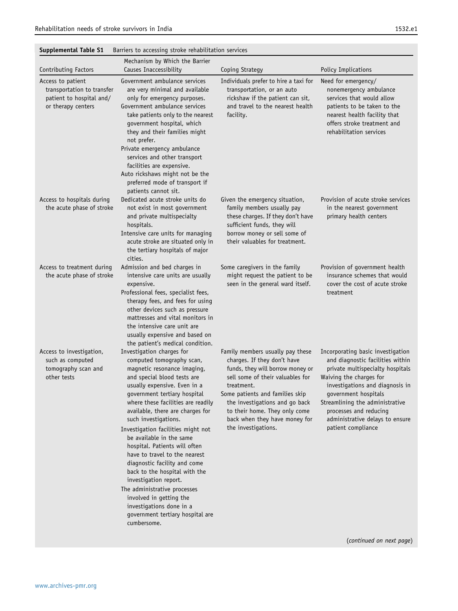<span id="page-7-0"></span>

| Supplemental Table S1<br>Barriers to accessing stroke rehabilitation services |
|-------------------------------------------------------------------------------|
|-------------------------------------------------------------------------------|

|                                                                                                   | anners to accessing stroke renabilitation serviv                                                                                                                                                                                                                                                                                                                                                                                                                                                                                                                                                                                                               |                                                                                                                                                                                                                                                                                                                     |                                                                                                                                                                                                                                                                                                                       |
|---------------------------------------------------------------------------------------------------|----------------------------------------------------------------------------------------------------------------------------------------------------------------------------------------------------------------------------------------------------------------------------------------------------------------------------------------------------------------------------------------------------------------------------------------------------------------------------------------------------------------------------------------------------------------------------------------------------------------------------------------------------------------|---------------------------------------------------------------------------------------------------------------------------------------------------------------------------------------------------------------------------------------------------------------------------------------------------------------------|-----------------------------------------------------------------------------------------------------------------------------------------------------------------------------------------------------------------------------------------------------------------------------------------------------------------------|
| Contributing Factors                                                                              | Mechanism by Which the Barrier<br>Causes Inaccessibility                                                                                                                                                                                                                                                                                                                                                                                                                                                                                                                                                                                                       | Coping Strategy                                                                                                                                                                                                                                                                                                     | Policy Implications                                                                                                                                                                                                                                                                                                   |
| Access to patient<br>transportation to transfer<br>patient to hospital and/<br>or therapy centers | Government ambulance services<br>are very minimal and available<br>only for emergency purposes.<br>Government ambulance services<br>take patients only to the nearest<br>government hospital, which<br>they and their families might<br>not prefer.<br>Private emergency ambulance<br>services and other transport<br>facilities are expensive.<br>Auto rickshaws might not be the<br>preferred mode of transport if<br>patients cannot sit.                                                                                                                                                                                                                   | Individuals prefer to hire a taxi for<br>transportation, or an auto<br>rickshaw if the patient can sit,<br>and travel to the nearest health<br>facility.                                                                                                                                                            | Need for emergency/<br>nonemergency ambulance<br>services that would allow<br>patients to be taken to the<br>nearest health facility that<br>offers stroke treatment and<br>rehabilitation services                                                                                                                   |
| Access to hospitals during<br>the acute phase of stroke                                           | Dedicated acute stroke units do<br>not exist in most government<br>and private multispecialty<br>hospitals.<br>Intensive care units for managing<br>acute stroke are situated only in<br>the tertiary hospitals of major<br>cities.                                                                                                                                                                                                                                                                                                                                                                                                                            | Given the emergency situation,<br>family members usually pay<br>these charges. If they don't have<br>sufficient funds, they will<br>borrow money or sell some of<br>their valuables for treatment.                                                                                                                  | Provision of acute stroke services<br>in the nearest government<br>primary health centers                                                                                                                                                                                                                             |
| Access to treatment during<br>the acute phase of stroke                                           | Admission and bed charges in<br>intensive care units are usually<br>expensive.<br>Professional fees, specialist fees,<br>therapy fees, and fees for using<br>other devices such as pressure<br>mattresses and vital monitors in<br>the intensive care unit are<br>usually expensive and based on<br>the patient's medical condition.                                                                                                                                                                                                                                                                                                                           | Some caregivers in the family<br>might request the patient to be<br>seen in the general ward itself.                                                                                                                                                                                                                | Provision of government health<br>insurance schemes that would<br>cover the cost of acute stroke<br>treatment                                                                                                                                                                                                         |
| Access to investigation,<br>such as computed<br>tomography scan and<br>other tests                | Investigation charges for<br>computed tomography scan,<br>magnetic resonance imaging,<br>and special blood tests are<br>usually expensive. Even in a<br>government tertiary hospital<br>where these facilities are readily<br>available, there are charges for<br>such investigations.<br>Investigation facilities might not<br>be available in the same<br>hospital. Patients will often<br>have to travel to the nearest<br>diagnostic facility and come<br>back to the hospital with the<br>investigation report.<br>The administrative processes<br>involved in getting the<br>investigations done in a<br>government tertiary hospital are<br>cumbersome. | Family members usually pay these<br>charges. If they don't have<br>funds, they will borrow money or<br>sell some of their valuables for<br>treatment.<br>Some patients and families skip<br>the investigations and go back<br>to their home. They only come<br>back when they have money for<br>the investigations. | Incorporating basic investigation<br>and diagnostic facilities within<br>private multispecialty hospitals<br>Waiving the charges for<br>investigations and diagnosis in<br>government hospitals<br>Streamlining the administrative<br>processes and reducing<br>administrative delays to ensure<br>patient compliance |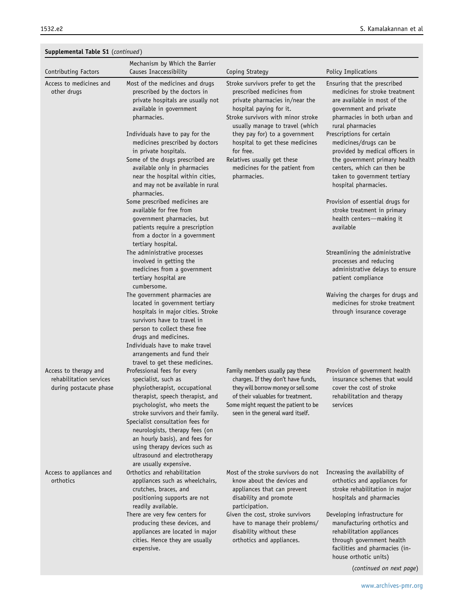| Supplemental Table S1 (continued)                                          |                                                                                                                                                                                                                                                                                                                                                                                                                                    |                                                                                                                                                                                                                                                                                        |                                                                                                                                                                                                                                                                        |
|----------------------------------------------------------------------------|------------------------------------------------------------------------------------------------------------------------------------------------------------------------------------------------------------------------------------------------------------------------------------------------------------------------------------------------------------------------------------------------------------------------------------|----------------------------------------------------------------------------------------------------------------------------------------------------------------------------------------------------------------------------------------------------------------------------------------|------------------------------------------------------------------------------------------------------------------------------------------------------------------------------------------------------------------------------------------------------------------------|
| Contributing Factors                                                       | Mechanism by Which the Barrier<br>Causes Inaccessibility                                                                                                                                                                                                                                                                                                                                                                           | Coping Strategy                                                                                                                                                                                                                                                                        | Policy Implications                                                                                                                                                                                                                                                    |
| Access to medicines and<br>other drugs                                     | Most of the medicines and drugs<br>prescribed by the doctors in<br>private hospitals are usually not<br>available in government<br>pharmacies.<br>Individuals have to pay for the<br>medicines prescribed by doctors<br>in private hospitals.                                                                                                                                                                                      | Stroke survivors prefer to get the<br>prescribed medicines from<br>private pharmacies in/near the<br>hospital paying for it.<br>Stroke survivors with minor stroke<br>usually manage to travel (which<br>they pay for) to a government<br>hospital to get these medicines<br>for free. | Ensuring that the prescribed<br>medicines for stroke treatment<br>are available in most of the<br>government and private<br>pharmacies in both urban and<br>rural pharmacies<br>Prescriptions for certain<br>medicines/drugs can be<br>provided by medical officers in |
|                                                                            | Some of the drugs prescribed are<br>available only in pharmacies<br>near the hospital within cities,<br>and may not be available in rural<br>pharmacies.                                                                                                                                                                                                                                                                           | Relatives usually get these<br>medicines for the patient from<br>pharmacies.                                                                                                                                                                                                           | the government primary health<br>centers, which can then be<br>taken to government tertiary<br>hospital pharmacies.                                                                                                                                                    |
|                                                                            | Some prescribed medicines are<br>available for free from<br>government pharmacies, but<br>patients require a prescription<br>from a doctor in a government<br>tertiary hospital.                                                                                                                                                                                                                                                   |                                                                                                                                                                                                                                                                                        | Provision of essential drugs for<br>stroke treatment in primary<br>health centers-making it<br>available                                                                                                                                                               |
|                                                                            | The administrative processes<br>involved in getting the<br>medicines from a government<br>tertiary hospital are<br>cumbersome.                                                                                                                                                                                                                                                                                                     |                                                                                                                                                                                                                                                                                        | Streamlining the administrative<br>processes and reducing<br>administrative delays to ensure<br>patient compliance                                                                                                                                                     |
|                                                                            | The government pharmacies are<br>located in government tertiary<br>hospitals in major cities. Stroke<br>survivors have to travel in<br>person to collect these free<br>drugs and medicines.<br>Individuals have to make travel<br>arrangements and fund their                                                                                                                                                                      |                                                                                                                                                                                                                                                                                        | Waiving the charges for drugs and<br>medicines for stroke treatment<br>through insurance coverage                                                                                                                                                                      |
| Access to therapy and<br>rehabilitation services<br>during postacute phase | travel to get these medicines.<br>Professional fees for every<br>specialist, such as<br>physiotherapist, occupational<br>therapist, speech therapist, and<br>psychologist, who meets the<br>stroke survivors and their family.<br>Specialist consultation fees for<br>neurologists, therapy fees (on<br>an hourly basis), and fees for<br>using therapy devices such as<br>ultrasound and electrotherapy<br>are usually expensive. | Family members usually pay these<br>charges. If they don't have funds,<br>they will borrow money or sell some<br>of their valuables for treatment.<br>Some might request the patient to be<br>seen in the general ward itself.                                                         | Provision of government health<br>insurance schemes that would<br>cover the cost of stroke<br>rehabilitation and therapy<br>services                                                                                                                                   |
| Access to appliances and<br>orthotics                                      | Orthotics and rehabilitation<br>appliances such as wheelchairs,<br>crutches, braces, and<br>positioning supports are not<br>readily available.                                                                                                                                                                                                                                                                                     | Most of the stroke survivors do not<br>know about the devices and<br>appliances that can prevent<br>disability and promote<br>participation.                                                                                                                                           | Increasing the availability of<br>orthotics and appliances for<br>stroke rehabilitation in major<br>hospitals and pharmacies                                                                                                                                           |
|                                                                            | There are very few centers for<br>producing these devices, and<br>appliances are located in major<br>cities. Hence they are usually<br>expensive.                                                                                                                                                                                                                                                                                  | Given the cost, stroke survivors<br>have to manage their problems/<br>disability without these<br>orthotics and appliances.                                                                                                                                                            | Developing infrastructure for<br>manufacturing orthotics and<br>rehabilitation appliances<br>through government health<br>facilities and pharmacies (in-<br>house orthotic units)                                                                                      |
|                                                                            |                                                                                                                                                                                                                                                                                                                                                                                                                                    |                                                                                                                                                                                                                                                                                        | (continued on next page)                                                                                                                                                                                                                                               |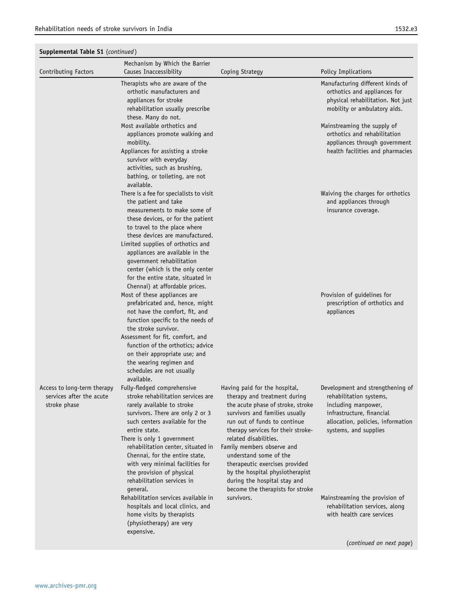| Supplemental Table S1 (continued)                                       |                                                                                                                                                                                                                                                                                                                                                                                                                         |                                                                                                                                                                                                                                                                                                                                                                                                                                      |                                                                                                                                                                               |
|-------------------------------------------------------------------------|-------------------------------------------------------------------------------------------------------------------------------------------------------------------------------------------------------------------------------------------------------------------------------------------------------------------------------------------------------------------------------------------------------------------------|--------------------------------------------------------------------------------------------------------------------------------------------------------------------------------------------------------------------------------------------------------------------------------------------------------------------------------------------------------------------------------------------------------------------------------------|-------------------------------------------------------------------------------------------------------------------------------------------------------------------------------|
| Contributing Factors                                                    | Mechanism by Which the Barrier<br>Causes Inaccessibility                                                                                                                                                                                                                                                                                                                                                                | Coping Strategy                                                                                                                                                                                                                                                                                                                                                                                                                      | Policy Implications                                                                                                                                                           |
|                                                                         | Therapists who are aware of the<br>orthotic manufacturers and<br>appliances for stroke<br>rehabilitation usually prescribe<br>these. Many do not.                                                                                                                                                                                                                                                                       |                                                                                                                                                                                                                                                                                                                                                                                                                                      | Manufacturing different kinds of<br>orthotics and appliances for<br>physical rehabilitation. Not just<br>mobility or ambulatory aids.                                         |
|                                                                         | Most available orthotics and<br>appliances promote walking and<br>mobility.<br>Appliances for assisting a stroke<br>survivor with everyday<br>activities, such as brushing,<br>bathing, or toileting, are not<br>available.                                                                                                                                                                                             |                                                                                                                                                                                                                                                                                                                                                                                                                                      | Mainstreaming the supply of<br>orthotics and rehabilitation<br>appliances through government<br>health facilities and pharmacies                                              |
|                                                                         | There is a fee for specialists to visit<br>the patient and take<br>measurements to make some of<br>these devices, or for the patient<br>to travel to the place where<br>these devices are manufactured.<br>Limited supplies of orthotics and<br>appliances are available in the<br>government rehabilitation<br>center (which is the only center<br>for the entire state, situated in<br>Chennai) at affordable prices. |                                                                                                                                                                                                                                                                                                                                                                                                                                      | Waiving the charges for orthotics<br>and appliances through<br>insurance coverage.                                                                                            |
|                                                                         | Most of these appliances are<br>prefabricated and, hence, might<br>not have the comfort, fit, and<br>function specific to the needs of<br>the stroke survivor.<br>Assessment for fit, comfort, and<br>function of the orthotics; advice<br>on their appropriate use; and<br>the wearing regimen and<br>schedules are not usually<br>available.                                                                          |                                                                                                                                                                                                                                                                                                                                                                                                                                      | Provision of guidelines for<br>prescription of orthotics and<br>appliances                                                                                                    |
| Access to long-term therapy<br>services after the acute<br>stroke phase | Fully-fledged comprehensive<br>stroke rehabilitation services are<br>rarely available to stroke<br>survivors. There are only 2 or 3<br>such centers available for the<br>entire state.<br>There is only 1 government<br>rehabilitation center, situated in<br>Chennai, for the entire state,<br>with very minimal facilities for<br>the provision of physical<br>rehabilitation services in<br>qeneral.                 | Having paid for the hospital,<br>therapy and treatment during<br>the acute phase of stroke, stroke<br>survivors and families usually<br>run out of funds to continue<br>therapy services for their stroke-<br>related disabilities.<br>Family members observe and<br>understand some of the<br>therapeutic exercises provided<br>by the hospital physiotherapist<br>during the hospital stay and<br>become the therapists for stroke | Development and strengthening of<br>rehabilitation systems,<br>including manpower,<br>infrastructure, financial<br>allocation, policies, information<br>systems, and supplies |
|                                                                         | Rehabilitation services available in<br>hospitals and local clinics, and<br>home visits by therapists<br>(physiotherapy) are very<br>expensive.                                                                                                                                                                                                                                                                         | survivors.                                                                                                                                                                                                                                                                                                                                                                                                                           | Mainstreaming the provision of<br>rehabilitation services, along<br>with health care services                                                                                 |
|                                                                         |                                                                                                                                                                                                                                                                                                                                                                                                                         |                                                                                                                                                                                                                                                                                                                                                                                                                                      | (continued on next page)                                                                                                                                                      |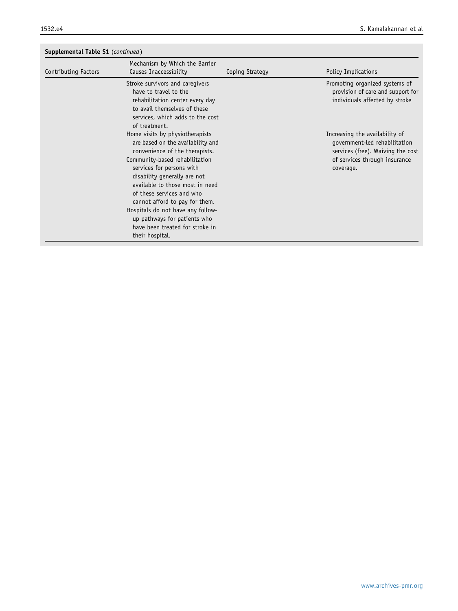| <b>Supplemental Table S1</b> (continued) |                                                                                                                                                                                                                                                                                                                                                                                                                                    |                 |                                                                                                                                                    |
|------------------------------------------|------------------------------------------------------------------------------------------------------------------------------------------------------------------------------------------------------------------------------------------------------------------------------------------------------------------------------------------------------------------------------------------------------------------------------------|-----------------|----------------------------------------------------------------------------------------------------------------------------------------------------|
| Contributing Factors                     | Mechanism by Which the Barrier<br>Causes Inaccessibility                                                                                                                                                                                                                                                                                                                                                                           | Coping Strategy | Policy Implications                                                                                                                                |
|                                          | Stroke survivors and caregivers<br>have to travel to the<br>rehabilitation center every day<br>to avail themselves of these<br>services, which adds to the cost<br>of treatment.                                                                                                                                                                                                                                                   |                 | Promoting organized systems of<br>provision of care and support for<br>individuals affected by stroke                                              |
|                                          | Home visits by physiotherapists<br>are based on the availability and<br>convenience of the therapists.<br>Community-based rehabilitation<br>services for persons with<br>disability generally are not<br>available to those most in need<br>of these services and who<br>cannot afford to pay for them.<br>Hospitals do not have any follow-<br>up pathways for patients who<br>have been treated for stroke in<br>their hospital. |                 | Increasing the availability of<br>qovernment-led rehabilitation<br>services (free). Waiving the cost<br>of services through insurance<br>coverage. |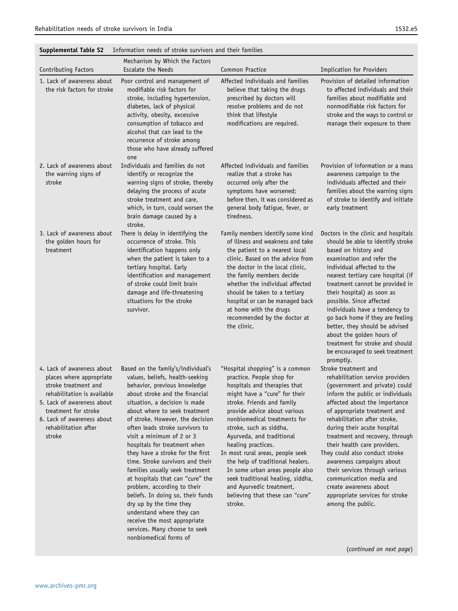| Contributing Factors                                                                                                                                                                                                                | Mechanism by Which the Factors<br><b>Escalate the Needs</b>                                                                                                                                                                                                                                                                                                                                                                                                                                                                                                                                                                                                                                                         | Common Practice                                                                                                                                                                                                                                                                                                                                                                                                                                                                                                                     | Implication for Providers                                                                                                                                                                                                                                                                                                                                                                                                                                                                                                                       |
|-------------------------------------------------------------------------------------------------------------------------------------------------------------------------------------------------------------------------------------|---------------------------------------------------------------------------------------------------------------------------------------------------------------------------------------------------------------------------------------------------------------------------------------------------------------------------------------------------------------------------------------------------------------------------------------------------------------------------------------------------------------------------------------------------------------------------------------------------------------------------------------------------------------------------------------------------------------------|-------------------------------------------------------------------------------------------------------------------------------------------------------------------------------------------------------------------------------------------------------------------------------------------------------------------------------------------------------------------------------------------------------------------------------------------------------------------------------------------------------------------------------------|-------------------------------------------------------------------------------------------------------------------------------------------------------------------------------------------------------------------------------------------------------------------------------------------------------------------------------------------------------------------------------------------------------------------------------------------------------------------------------------------------------------------------------------------------|
| 1. Lack of awareness about<br>the risk factors for stroke                                                                                                                                                                           | Poor control and management of<br>modifiable risk factors for<br>stroke, including hypertension,<br>diabetes, lack of physical<br>activity, obesity, excessive<br>consumption of tobacco and<br>alcohol that can lead to the<br>recurrence of stroke among<br>those who have already suffered<br>one                                                                                                                                                                                                                                                                                                                                                                                                                | Affected individuals and families<br>believe that taking the drugs<br>prescribed by doctors will<br>resolve problems and do not<br>think that lifestyle<br>modifications are required.                                                                                                                                                                                                                                                                                                                                              | Provision of detailed information<br>to affected individuals and their<br>families about modifiable and<br>nonmodifiable risk factors for<br>stroke and the ways to control or<br>manage their exposure to them                                                                                                                                                                                                                                                                                                                                 |
| 2. Lack of awareness about<br>the warning signs of<br>stroke                                                                                                                                                                        | Individuals and families do not<br>identify or recognize the<br>warning signs of stroke, thereby<br>delaying the process of acute<br>stroke treatment and care,<br>which, in turn, could worsen the<br>brain damage caused by a<br>stroke.                                                                                                                                                                                                                                                                                                                                                                                                                                                                          | Affected individuals and families<br>realize that a stroke has<br>occurred only after the<br>symptoms have worsened;<br>before then, it was considered as<br>general body fatigue, fever, or<br>tiredness.                                                                                                                                                                                                                                                                                                                          | Provision of information or a mass<br>awareness campaign to the<br>individuals affected and their<br>families about the warning signs<br>of stroke to identify and initiate<br>early treatment                                                                                                                                                                                                                                                                                                                                                  |
| 3. Lack of awareness about<br>the golden hours for<br>treatment                                                                                                                                                                     | There is delay in identifying the<br>occurrence of stroke. This<br>identification happens only<br>when the patient is taken to a<br>tertiary hospital. Early<br>identification and management<br>of stroke could limit brain<br>damage and life-threatening<br>situations for the stroke<br>survivor.                                                                                                                                                                                                                                                                                                                                                                                                               | Family members identify some kind<br>of illness and weakness and take<br>the patient to a nearest local<br>clinic. Based on the advice from<br>the doctor in the local clinic,<br>the family members decide<br>whether the individual affected<br>should be taken to a tertiary<br>hospital or can be managed back<br>at home with the drugs<br>recommended by the doctor at<br>the clinic.                                                                                                                                         | Doctors in the clinic and hospitals<br>should be able to identify stroke<br>based on history and<br>examination and refer the<br>individual affected to the<br>nearest tertiary care hospital (if<br>treatment cannot be provided in<br>their hospital) as soon as<br>possible. Since affected<br>individuals have a tendency to<br>go back home if they are feeling<br>better, they should be advised<br>about the golden hours of<br>treatment for stroke and should<br>be encouraged to seek treatment<br>promptly.                          |
| 4. Lack of awareness about<br>places where appropriate<br>stroke treatment and<br>rehabilitation is available<br>5. Lack of awareness about<br>treatment for stroke<br>6. Lack of awareness about<br>rehabilitation after<br>stroke | Based on the family's/individual's<br>values, beliefs, health-seeking<br>behavior, previous knowledge<br>about stroke and the financial<br>situation, a decision is made<br>about where to seek treatment<br>of stroke. However, the decision<br>often leads stroke survivors to<br>visit a minimum of 2 or 3<br>hospitals for treatment when<br>they have a stroke for the first<br>time. Stroke survivors and their<br>families usually seek treatment<br>at hospitals that can "cure" the<br>problem, according to their<br>beliefs. In doing so, their funds<br>dry up by the time they<br>understand where they can<br>receive the most appropriate<br>services. Many choose to seek<br>nonbiomedical forms of | "Hospital shopping" is a common<br>practice. People shop for<br>hospitals and therapies that<br>might have a "cure" for their<br>stroke. Friends and family<br>provide advice about various<br>nonbiomedical treatments for<br>stroke, such as siddha,<br>Ayurveda, and traditional<br>healing practices.<br>In most rural areas, people seek<br>the help of traditional healers.<br>In some urban areas people also<br>seek traditional healing, siddha,<br>and Ayurvedic treatment,<br>believing that these can "cure"<br>stroke. | Stroke treatment and<br>rehabilitation service providers<br>(government and private) could<br>inform the public or individuals<br>affected about the importance<br>of appropriate treatment and<br>rehabilitation after stroke,<br>during their acute hospital<br>treatment and recovery, through<br>their health care providers.<br>They could also conduct stroke<br>awareness campaigns about<br>their services through various<br>communication media and<br>create awareness about<br>appropriate services for stroke<br>among the public. |
|                                                                                                                                                                                                                                     |                                                                                                                                                                                                                                                                                                                                                                                                                                                                                                                                                                                                                                                                                                                     |                                                                                                                                                                                                                                                                                                                                                                                                                                                                                                                                     | (continued on next page)                                                                                                                                                                                                                                                                                                                                                                                                                                                                                                                        |

<span id="page-11-0"></span>Supplemental Table S2 Information needs of stroke survivors and their families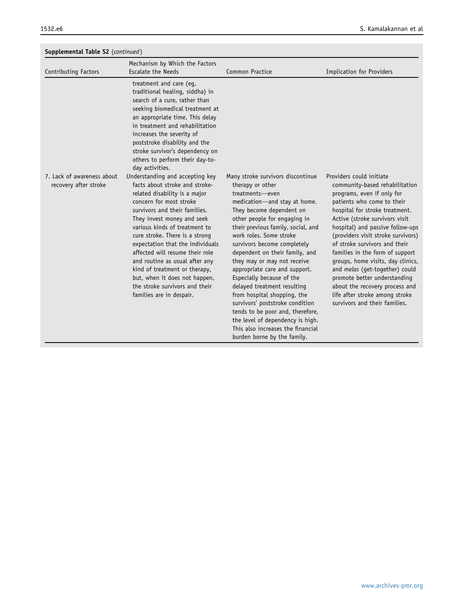| Supplemental Table S2 (continued) |                                                                                                                                                                                                                                                                                                                                                                                                                                                                       |                                                                                                                                                                                                                                                                                                                                                                                                                                                                                                                                                                                                             |                                                                                                                                                                                                                                                                                                                                                                                                                                                                                                                          |
|-----------------------------------|-----------------------------------------------------------------------------------------------------------------------------------------------------------------------------------------------------------------------------------------------------------------------------------------------------------------------------------------------------------------------------------------------------------------------------------------------------------------------|-------------------------------------------------------------------------------------------------------------------------------------------------------------------------------------------------------------------------------------------------------------------------------------------------------------------------------------------------------------------------------------------------------------------------------------------------------------------------------------------------------------------------------------------------------------------------------------------------------------|--------------------------------------------------------------------------------------------------------------------------------------------------------------------------------------------------------------------------------------------------------------------------------------------------------------------------------------------------------------------------------------------------------------------------------------------------------------------------------------------------------------------------|
| Contributing Factors              | Mechanism by Which the Factors<br><b>Escalate the Needs</b>                                                                                                                                                                                                                                                                                                                                                                                                           | <b>Common Practice</b>                                                                                                                                                                                                                                                                                                                                                                                                                                                                                                                                                                                      | <b>Implication for Providers</b>                                                                                                                                                                                                                                                                                                                                                                                                                                                                                         |
| 7. Lack of awareness about        | treatment and care (eq,<br>traditional healing, siddha) in<br>search of a cure, rather than<br>seeking biomedical treatment at<br>an appropriate time. This delay<br>in treatment and rehabilitation<br>increases the severity of<br>poststroke disability and the<br>stroke survivor's dependency on<br>others to perform their day-to-<br>day activities.<br>Understanding and accepting key                                                                        | Many stroke survivors discontinue                                                                                                                                                                                                                                                                                                                                                                                                                                                                                                                                                                           | Providers could initiate                                                                                                                                                                                                                                                                                                                                                                                                                                                                                                 |
| recovery after stroke             | facts about stroke and stroke-<br>related disability is a major<br>concern for most stroke<br>survivors and their families.<br>They invest money and seek<br>various kinds of treatment to<br>cure stroke. There is a strong<br>expectation that the individuals<br>affected will resume their role<br>and routine as usual after any<br>kind of treatment or therapy,<br>but, when it does not happen,<br>the stroke survivors and their<br>families are in despair. | therapy or other<br>treatments-even<br>medication-and stay at home.<br>They become dependent on<br>other people for engaging in<br>their previous family, social, and<br>work roles. Some stroke<br>survivors become completely<br>dependent on their family, and<br>they may or may not receive<br>appropriate care and support.<br>Especially because of the<br>delayed treatment resulting<br>from hospital shopping, the<br>survivors' poststroke condition<br>tends to be poor and, therefore,<br>the level of dependency is high.<br>This also increases the financial<br>burden borne by the family. | community-based rehabilitation<br>programs, even if only for<br>patients who come to their<br>hospital for stroke treatment.<br>Active (stroke survivors visit<br>hospital) and passive follow-ups<br>(providers visit stroke survivors)<br>of stroke survivors and their<br>families in the form of support<br>groups, home visits, day clinics,<br>and melas (get-together) could<br>promote better understanding<br>about the recovery process and<br>life after stroke among stroke<br>survivors and their families. |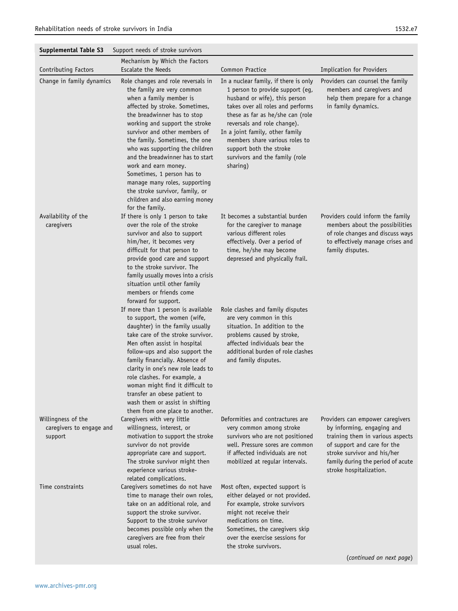<span id="page-13-0"></span>

| <b>Supplemental Table S3</b>                              | Support needs of stroke survivors                                                                                                                                                                                                                                                                                                                                                                                                                                                                                        |                                                                                                                                                                                                                                                                                                                                                                  |                                                                                                                                                                                                                                  |
|-----------------------------------------------------------|--------------------------------------------------------------------------------------------------------------------------------------------------------------------------------------------------------------------------------------------------------------------------------------------------------------------------------------------------------------------------------------------------------------------------------------------------------------------------------------------------------------------------|------------------------------------------------------------------------------------------------------------------------------------------------------------------------------------------------------------------------------------------------------------------------------------------------------------------------------------------------------------------|----------------------------------------------------------------------------------------------------------------------------------------------------------------------------------------------------------------------------------|
| Contributing Factors                                      | Mechanism by Which the Factors<br><b>Escalate the Needs</b>                                                                                                                                                                                                                                                                                                                                                                                                                                                              | Common Practice                                                                                                                                                                                                                                                                                                                                                  | Implication for Providers                                                                                                                                                                                                        |
| Change in family dynamics                                 | Role changes and role reversals in<br>the family are very common<br>when a family member is<br>affected by stroke. Sometimes,<br>the breadwinner has to stop<br>working and support the stroke<br>survivor and other members of<br>the family. Sometimes, the one<br>who was supporting the children<br>and the breadwinner has to start<br>work and earn money.<br>Sometimes, 1 person has to<br>manage many roles, supporting<br>the stroke survivor, family, or<br>children and also earning money<br>for the family. | In a nuclear family, if there is only<br>1 person to provide support (eg,<br>husband or wife), this person<br>takes over all roles and performs<br>these as far as he/she can (role<br>reversals and role change).<br>In a joint family, other family<br>members share various roles to<br>support both the stroke<br>survivors and the family (role<br>sharing) | Providers can counsel the family<br>members and caregivers and<br>help them prepare for a change<br>in family dynamics.                                                                                                          |
| Availability of the<br>caregivers                         | If there is only 1 person to take<br>over the role of the stroke<br>survivor and also to support<br>him/her, it becomes very<br>difficult for that person to<br>provide good care and support<br>to the stroke survivor. The<br>family usually moves into a crisis<br>situation until other family<br>members or friends come<br>forward for support.                                                                                                                                                                    | It becomes a substantial burden<br>for the caregiver to manage<br>various different roles<br>effectively. Over a period of<br>time, he/she may become<br>depressed and physically frail.                                                                                                                                                                         | Providers could inform the family<br>members about the possibilities<br>of role changes and discuss ways<br>to effectively manage crises and<br>family disputes.                                                                 |
|                                                           | If more than 1 person is available<br>to support, the women (wife,<br>daughter) in the family usually<br>take care of the stroke survivor.<br>Men often assist in hospital<br>follow-ups and also support the<br>family financially. Absence of<br>clarity in one's new role leads to<br>role clashes. For example, a<br>woman might find it difficult to<br>transfer an obese patient to<br>wash them or assist in shifting<br>them from one place to another.                                                          | Role clashes and family disputes<br>are very common in this<br>situation. In addition to the<br>problems caused by stroke,<br>affected individuals bear the<br>additional burden of role clashes<br>and family disputes.                                                                                                                                         |                                                                                                                                                                                                                                  |
| Willingness of the<br>caregivers to engage and<br>support | Caregivers with very little<br>willingness, interest, or<br>motivation to support the stroke<br>survivor do not provide<br>appropriate care and support.<br>The stroke survivor might then<br>experience various stroke-<br>related complications.                                                                                                                                                                                                                                                                       | Deformities and contractures are<br>very common among stroke<br>survivors who are not positioned<br>well. Pressure sores are common<br>if affected individuals are not<br>mobilized at regular intervals.                                                                                                                                                        | Providers can empower caregivers<br>by informing, engaging and<br>training them in various aspects<br>of support and care for the<br>stroke survivor and his/her<br>family during the period of acute<br>stroke hospitalization. |
| Time constraints                                          | Caregivers sometimes do not have<br>time to manage their own roles,<br>take on an additional role, and<br>support the stroke survivor.<br>Support to the stroke survivor<br>becomes possible only when the<br>caregivers are free from their<br>usual roles.                                                                                                                                                                                                                                                             | Most often, expected support is<br>either delayed or not provided.<br>For example, stroke survivors<br>might not receive their<br>medications on time.<br>Sometimes, the caregivers skip<br>over the exercise sessions for<br>the stroke survivors.                                                                                                              |                                                                                                                                                                                                                                  |
|                                                           |                                                                                                                                                                                                                                                                                                                                                                                                                                                                                                                          |                                                                                                                                                                                                                                                                                                                                                                  | (continued on next page)                                                                                                                                                                                                         |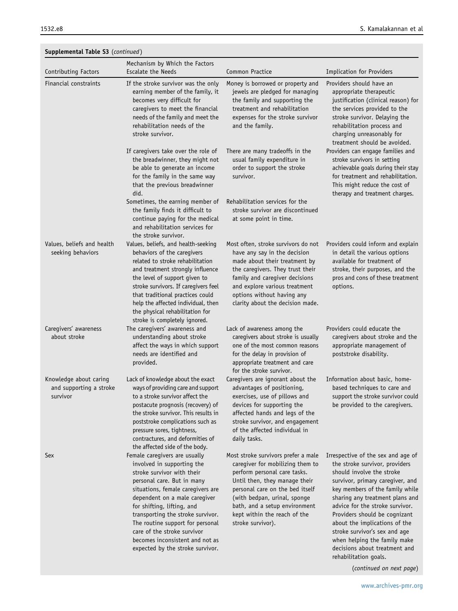| Contributing Factors                                          | Mechanism by Which the Factors<br><b>Escalate the Needs</b>                                                                                                                                                                                                                                                                                                                                                | Common Practice                                                                                                                                                                                                                                                                                   | <b>Implication for Providers</b>                                                                                                                                                                                                                                                                                                                                                                                                            |
|---------------------------------------------------------------|------------------------------------------------------------------------------------------------------------------------------------------------------------------------------------------------------------------------------------------------------------------------------------------------------------------------------------------------------------------------------------------------------------|---------------------------------------------------------------------------------------------------------------------------------------------------------------------------------------------------------------------------------------------------------------------------------------------------|---------------------------------------------------------------------------------------------------------------------------------------------------------------------------------------------------------------------------------------------------------------------------------------------------------------------------------------------------------------------------------------------------------------------------------------------|
| Financial constraints                                         | If the stroke survivor was the only<br>earning member of the family, it<br>becomes very difficult for<br>caregivers to meet the financial<br>needs of the family and meet the<br>rehabilitation needs of the<br>stroke survivor.                                                                                                                                                                           | Money is borrowed or property and<br>jewels are pledged for managing<br>the family and supporting the<br>treatment and rehabilitation<br>expenses for the stroke survivor<br>and the family.                                                                                                      | Providers should have an<br>appropriate therapeutic<br>justification (clinical reason) for<br>the services provided to the<br>stroke survivor. Delaying the<br>rehabilitation process and<br>charging unreasonably for<br>treatment should be avoided.                                                                                                                                                                                      |
|                                                               | If caregivers take over the role of<br>the breadwinner, they might not<br>be able to generate an income<br>for the family in the same way<br>that the previous breadwinner<br>did.                                                                                                                                                                                                                         | There are many tradeoffs in the<br>usual family expenditure in<br>order to support the stroke<br>survivor.                                                                                                                                                                                        | Providers can engage families and<br>stroke survivors in setting<br>achievable goals during their stay<br>for treatment and rehabilitation.<br>This might reduce the cost of<br>therapy and treatment charges.                                                                                                                                                                                                                              |
|                                                               | Sometimes, the earning member of<br>the family finds it difficult to<br>continue paying for the medical<br>and rehabilitation services for<br>the stroke survivor.                                                                                                                                                                                                                                         | Rehabilitation services for the<br>stroke survivor are discontinued<br>at some point in time.                                                                                                                                                                                                     |                                                                                                                                                                                                                                                                                                                                                                                                                                             |
| Values, beliefs and health<br>seeking behaviors               | Values, beliefs, and health-seeking<br>behaviors of the caregivers<br>related to stroke rehabilitation<br>and treatment strongly influence<br>the level of support given to<br>stroke survivors. If caregivers feel<br>that traditional practices could<br>help the affected individual, then<br>the physical rehabilitation for<br>stroke is completely ignored.                                          | Most often, stroke survivors do not<br>have any say in the decision<br>made about their treatment by<br>the caregivers. They trust their<br>family and caregiver decisions<br>and explore various treatment<br>options without having any<br>clarity about the decision made.                     | Providers could inform and explain<br>in detail the various options<br>available for treatment of<br>stroke, their purposes, and the<br>pros and cons of these treatment<br>options.                                                                                                                                                                                                                                                        |
| Caregivers' awareness<br>about stroke                         | The caregivers' awareness and<br>understanding about stroke<br>affect the ways in which support<br>needs are identified and<br>provided.                                                                                                                                                                                                                                                                   | Lack of awareness among the<br>caregivers about stroke is usually<br>one of the most common reasons<br>for the delay in provision of<br>appropriate treatment and care<br>for the stroke survivor.                                                                                                | Providers could educate the<br>caregivers about stroke and the<br>appropriate management of<br>poststroke disability.                                                                                                                                                                                                                                                                                                                       |
| Knowledge about caring<br>and supporting a stroke<br>survivor | Lack of knowledge about the exact<br>ways of providing care and support<br>to a stroke survivor affect the<br>postacute prognosis (recovery) of<br>the stroke survivor. This results in<br>poststroke complications such as<br>pressure sores, tightness,<br>contractures, and deformities of<br>the affected side of the body.                                                                            | Caregivers are ignorant about the<br>advantages of positioning,<br>exercises, use of pillows and<br>devices for supporting the<br>affected hands and legs of the<br>stroke survivor, and engagement<br>of the affected individual in<br>daily tasks.                                              | Information about basic, home-<br>based techniques to care and<br>support the stroke survivor could<br>be provided to the caregivers.                                                                                                                                                                                                                                                                                                       |
| Sex                                                           | Female caregivers are usually<br>involved in supporting the<br>stroke survivor with their<br>personal care. But in many<br>situations, female caregivers are<br>dependent on a male caregiver<br>for shifting, lifting, and<br>transporting the stroke survivor.<br>The routine support for personal<br>care of the stroke survivor<br>becomes inconsistent and not as<br>expected by the stroke survivor. | Most stroke survivors prefer a male<br>caregiver for mobilizing them to<br>perform personal care tasks.<br>Until then, they manage their<br>personal care on the bed itself<br>(with bedpan, urinal, sponge<br>bath, and a setup environment<br>kept within the reach of the<br>stroke survivor). | Irrespective of the sex and age of<br>the stroke survivor, providers<br>should involve the stroke<br>survivor, primary caregiver, and<br>key members of the family while<br>sharing any treatment plans and<br>advice for the stroke survivor.<br>Providers should be cognizant<br>about the implications of the<br>stroke survivor's sex and age<br>when helping the family make<br>decisions about treatment and<br>rehabilitation goals. |

(continued on next page)